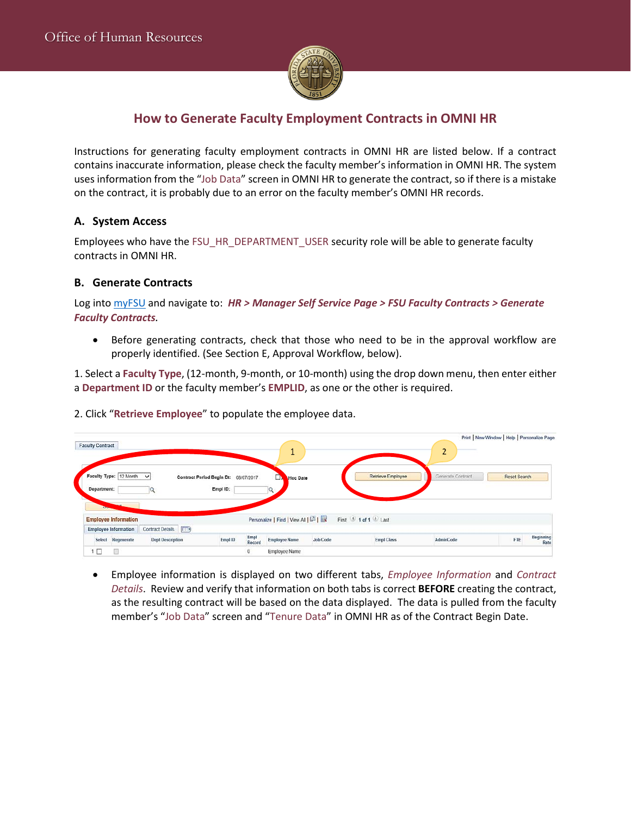

## **How to Generate Faculty Employment Contracts in OMNI HR**

Instructions for generating faculty employment contracts in OMNI HR are listed below. If a contract contains inaccurate information, please check the faculty member's information in OMNI HR. The system uses information from the "Job Data" screen in OMNI HR to generate the contract, so if there is a mistake on the contract, it is probably due to an error on the faculty member's OMNI HR records.

### **A. System Access**

Employees who have the FSU\_HR\_DEPARTMENT\_USER security role will be able to generate faculty contracts in OMNI HR.

### **B. Generate Contracts**

Log into myFSU and navigate to: *HR > Manager Self Service Page > FSU Faculty Contracts > Generate Faculty Contracts.*

• Before generating contracts, check that those who need to be in the approval workflow are properly identified. (See Section E, Approval Workflow, below).

1. Select a **Faculty Type**, (12-month, 9-month, or 10-month) using the drop down menu, then enter either a **Department ID** or the faculty member's **EMPLID**, as one or the other is required.

2. Click "**Retrieve Employee**" to populate the employee data.

| <b>Faculty Contract</b>                                    |                         |                                                  |                | л                                  |                       |                   | ∍<br>∠            | Print   New Window   Help   Personalize Page |
|------------------------------------------------------------|-------------------------|--------------------------------------------------|----------------|------------------------------------|-----------------------|-------------------|-------------------|----------------------------------------------|
| Faculty Type: 12 Month V<br>Department:                    |                         | Contract Period Begin Dt: 08/07/2017<br>Empl ID: |                | Hoc Date<br>⋻                      |                       | Retrieve Employee | Generate Contract | Reset Search                                 |
| <b>Employee Information</b><br><b>Employee Information</b> | Contract Details (F.T.) |                                                  |                | Personalize   Find   View All   12 | First 9 1 of 1 2 Last |                   |                   |                                              |
| Select Regenerate                                          | <b>Dept Description</b> | EmpID                                            | Empl<br>Record | <b>Employee Name</b>               | <b>Job Code</b>       | <b>Empl Class</b> | <b>AdminCode</b>  | Beginning<br>FTE<br>Rate                     |
|                                                            |                         |                                                  | 0              | <b>Employee Name</b>               |                       |                   |                   |                                              |

• Employee information is displayed on two different tabs, *Employee Information* and *Contract Details*. Review and verify that information on both tabs is correct **BEFORE** creating the contract, as the resulting contract will be based on the data displayed. The data is pulled from the faculty member's "Job Data" screen and "Tenure Data" in OMNI HR as of the Contract Begin Date.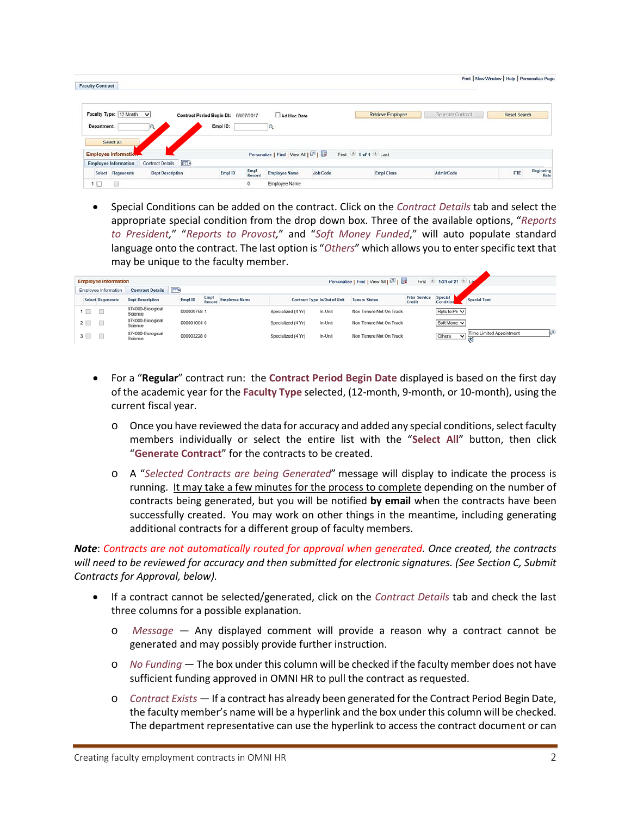| <b>Faculty Contract</b>                                    |                                                  |                                        |                 |                          |                   | Print   New Window   Help   Personalize Page |
|------------------------------------------------------------|--------------------------------------------------|----------------------------------------|-----------------|--------------------------|-------------------|----------------------------------------------|
| Faculty Type: 12 Month<br>$\checkmark$<br>Department:<br>Q | Contract Period Begin Dt: 08/07/2017<br>Empl ID: | Ad Hoc Date<br>Q                       |                 | <b>Retrieve Employee</b> | Generate Contract | <b>Reset Search</b>                          |
| Select All<br>Employee Information                         |                                                  | Personalize   Find   View All   [2]    |                 | First 1 of 1 Last        |                   |                                              |
| Contract Details [1179]<br><b>Employee Information</b>     |                                                  |                                        |                 |                          |                   |                                              |
| <b>Dept Description</b><br>Select Regenerate               | Empl ID                                          | Empl<br>Record<br><b>Employee Name</b> | <b>Job Code</b> | <b>Empl Class</b>        | AdminCode         | Beginning<br>FTE<br>Rate                     |
| D<br>1 口                                                   | $\circ$                                          | <b>Employee Name</b>                   |                 |                          |                   |                                              |

• Special Conditions can be added on the contract. Click on the *Contract Details* tab and select the appropriate special condition from the drop down box. Three of the available options, "*Reports to President,*" "*Reports to Provost,*" and "*Soft Money Funded*," will auto populate standard language onto the contract. The last option is "*Others*" which allows you to enter specific text that may be unique to the faculty member.

| Personalize   Find   View All   $\boxed{2}$  <br>First 1-21 of 21 2 Law<br><b>Employee Information</b> |          |                      |                              |             |                |                      |                    |                              |                         |                                |                        |                               |
|--------------------------------------------------------------------------------------------------------|----------|----------------------|------------------------------|-------------|----------------|----------------------|--------------------|------------------------------|-------------------------|--------------------------------|------------------------|-------------------------------|
|                                                                                                        |          | Employee Information | <b>Contract Details</b>      | $\sqrt{1}$  |                |                      |                    |                              |                         |                                |                        |                               |
|                                                                                                        |          | Select Regenerate    | <b>Dept Description</b>      | Empl ID     | Empl<br>Record | <b>Employee Name</b> |                    | Contract Type In/Out of Unit | <b>Tenure Status</b>    | <b>Prior Service</b><br>Credit | Special<br>Condition   | <b>Special Text</b>           |
|                                                                                                        | ▚        |                      | 074000-Biological<br>Science | 000000758 1 |                |                      | Specialized (4 Yr) | In-Unit                      | Non Tenure Not On Track |                                | Rpts to Pro V          |                               |
|                                                                                                        | $2 \Box$ |                      | 074000-Biological<br>Science | 0000010040  |                |                      | Specialized (4 Yr) | In-Unit                      | Non Tenure Not On Track |                                | Soft Mone <sup>V</sup> |                               |
|                                                                                                        | $3 \Box$ |                      | 074000-Biological<br>Science | 0000032280  |                |                      | Specialized (4 Yr) | In-Unit                      | Non Tenure Not On Track |                                | Others<br>M            | o<br>Time Limited Appointment |

- For a "**Regular**" contract run: the **Contract Period Begin Date** displayed is based on the first day of the academic year for the **Faculty Type** selected, (12-month, 9-month, or 10-month), using the current fiscal year.
	- o Once you have reviewed the data for accuracy and added any special conditions, select faculty members individually or select the entire list with the "**Select All**" button, then click "**Generate Contract**" for the contracts to be created.
	- o A "*Selected Contracts are being Generated*" message will display to indicate the process is running. It may take a few minutes for the process to complete depending on the number of contracts being generated, but you will be notified **by email** when the contracts have been successfully created. You may work on other things in the meantime, including generating additional contracts for a different group of faculty members.

*Note*: *Contracts are not automatically routed for approval when generated. Once created, the contracts will need to be reviewed for accuracy and then submitted for electronic signatures. (See Section C, Submit Contracts for Approval, below).* 

- If a contract cannot be selected/generated, click on the *Contract Details* tab and check the last three columns for a possible explanation.
	- o *Message* Any displayed comment will provide a reason why a contract cannot be generated and may possibly provide further instruction.
	- o *No Funding* The box under this column will be checked if the faculty member does not have sufficient funding approved in OMNI HR to pull the contract as requested.
	- o *Contract Exists —* If a contract has already been generated for the Contract Period Begin Date, the faculty member's name will be a hyperlink and the box under this column will be checked. The department representative can use the hyperlink to access the contract document or can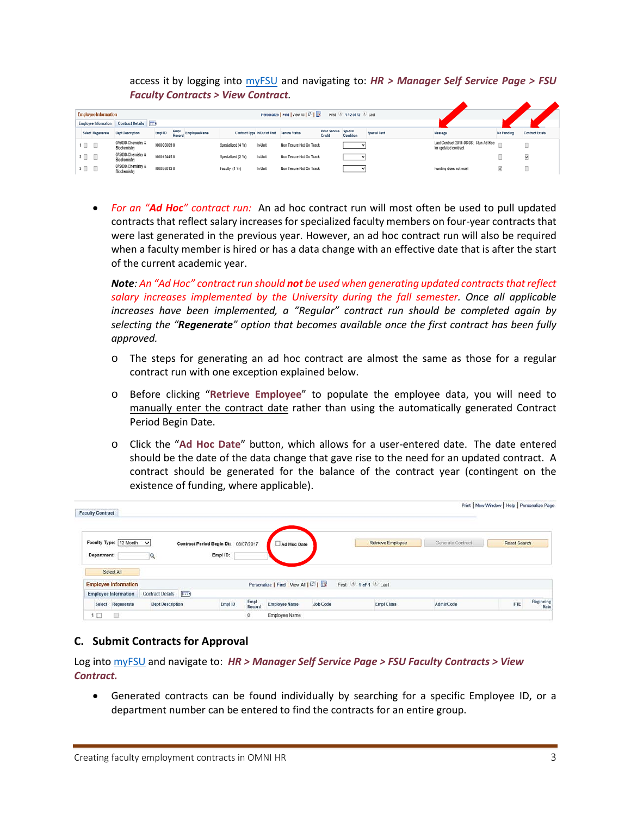access it by logging into myFSU and navigating to: *HR > Manager Self Service Page > FSU Faculty Contracts > View Contract.* 

| Personalize   Find   View All   (2)      <br><b>Employee Information</b><br><b><i><u><b>D</b></u></i></b> 142 of 12 <b><i>D</i></b> Last<br>First |            |                      |                                    |            |                              |                    |                              |                         |                                |                      |                     |                                                               |            |                        |
|---------------------------------------------------------------------------------------------------------------------------------------------------|------------|----------------------|------------------------------------|------------|------------------------------|--------------------|------------------------------|-------------------------|--------------------------------|----------------------|---------------------|---------------------------------------------------------------|------------|------------------------|
|                                                                                                                                                   |            | Employee Information | Contract Details [777)             |            |                              |                    |                              |                         |                                |                      |                     |                                                               |            |                        |
|                                                                                                                                                   |            | Select Regenerate    | <b>Dept Description</b>            | Empl ID    | Empl<br>Regerd Employee Name |                    | Contract Type In/Out of Unit | Tenure Status           | <b>Prior Service</b><br>Credit | Special<br>Condition | <b>Special Text</b> | Mossage                                                       | No Funding | <b>Contract Exists</b> |
|                                                                                                                                                   | $1 \Box$   |                      | 075000 Chemistry &<br>Blochemistry | 0000060690 |                              | Specialized (4 Yr) | In-Unit                      | Non Tenure Not On Track |                                |                      |                     | Last Contract 2016-08-08 ; Run Ad Hoc<br>for updated contract |            | $\Box$<br><b>COLL</b>  |
|                                                                                                                                                   | $2$ $\Box$ |                      | 075000-Chemistry &<br>Biochemistry | 0000134450 |                              | Specialized (2 Yr) | In-Unit                      | Non Tenure Not On Track |                                |                      |                     |                                                               |            | M                      |
|                                                                                                                                                   | $3$ $\Box$ |                      | 075000-Chemistry &<br>Biochemistry | 0000360130 |                              | Faculty (1 Yr)     | In Unit                      | Non Tenure Not On Track |                                |                      |                     | Funding does not exist                                        | M          | <b>COL</b>             |

• *For an "Ad Hoc" contract run:* An ad hoc contract run will most often be used to pull updated contracts that reflect salary increases for specialized faculty members on four-year contracts that were last generated in the previous year. However, an ad hoc contract run will also be required when a faculty member is hired or has a data change with an effective date that is after the start of the current academic year.

*Note: An "Ad Hoc" contract run should not be used when generating updated contracts that reflect salary increases implemented by the University during the fall semester. Once all applicable increases have been implemented, a "Regular" contract run should be completed again by selecting the "Regenerate" option that becomes available once the first contract has been fully approved.*

- o The steps for generating an ad hoc contract are almost the same as those for a regular contract run with one exception explained below.
- o Before clicking "**Retrieve Employee**" to populate the employee data, you will need to manually enter the contract date rather than using the automatically generated Contract Period Begin Date.
- o Click the "**Ad Hoc Date**" button, which allows for a user-entered date. The date entered should be the date of the data change that gave rise to the need for an updated contract. A contract should be generated for the balance of the contract year (contingent on the existence of funding, where applicable).

| <b>Faculty Contract</b> |                                           |                         |                                                  |                |                                   |          |                   |                   | Print   New Window   Help   Personalize Page |
|-------------------------|-------------------------------------------|-------------------------|--------------------------------------------------|----------------|-----------------------------------|----------|-------------------|-------------------|----------------------------------------------|
| Department:             | Faculty Type: 12 Month V                  |                         | Contract Period Begin Dt: 08/07/2017<br>Empl ID: |                | Ad Hoc Date                       |          | Retrieve Employee | Generate Contract | <b>Reset Search</b>                          |
|                         | Select All<br><b>Employee Information</b> |                         |                                                  |                | Personalize   Find   View All   2 |          | First 1 of 1 Last |                   |                                              |
|                         | <b>Employee Information</b>               | Contract Details [777.) |                                                  |                |                                   |          |                   |                   |                                              |
| Select                  | Regenerate                                | <b>Dept Description</b> | Empl ID                                          | Empl<br>Record | <b>Employee Name</b>              | Job Code | <b>Empl Class</b> | <b>AdminCode</b>  | Beginning<br>FTE<br>Rate                     |
| $\Box$                  | $\Box$                                    |                         |                                                  | 0              | Employee Name                     |          |                   |                   |                                              |

### **C. Submit Contracts for Approval**

Log into myFSU and navigate to: *HR > Manager Self Service Page > FSU Faculty Contracts > View Contract.* 

• Generated contracts can be found individually by searching for a specific Employee ID, or a department number can be entered to find the contracts for an entire group.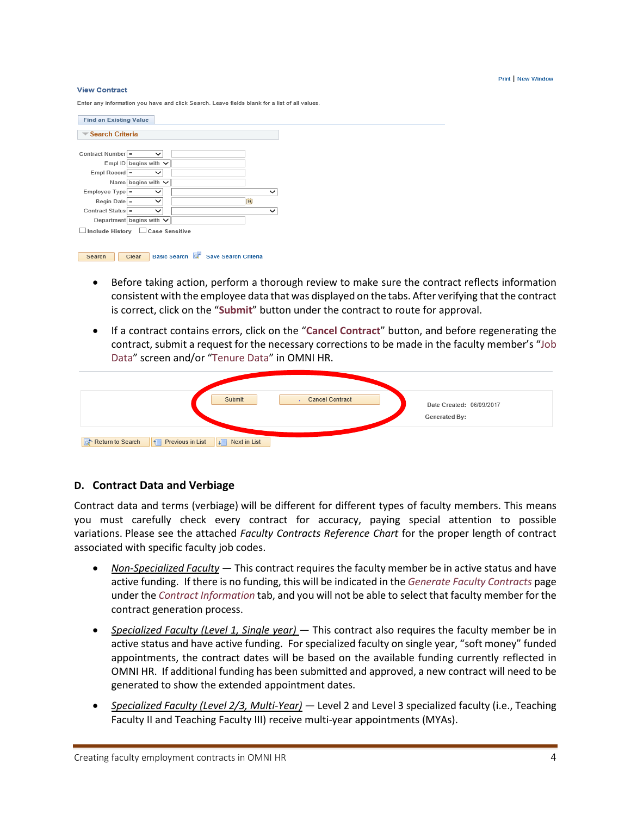#### Print New Window

#### **View Contract**

Enter any information you have and click Search. Leave fields blank for a list of all values

| <b>Find an Existing Value</b>  |                               |  |  |              |  |  |  |  |  |
|--------------------------------|-------------------------------|--|--|--------------|--|--|--|--|--|
| <b>₩ Search Criteria</b>       |                               |  |  |              |  |  |  |  |  |
|                                |                               |  |  |              |  |  |  |  |  |
| Contract Number =              | $\check{ }$                   |  |  |              |  |  |  |  |  |
|                                | Empl ID begins with $\vee$    |  |  |              |  |  |  |  |  |
| $Empl$ Record =                | $\checkmark$                  |  |  |              |  |  |  |  |  |
|                                | Name begins with $\vee$       |  |  |              |  |  |  |  |  |
| $Employee$ Type =              | $\checkmark$                  |  |  | $\checkmark$ |  |  |  |  |  |
| Begin Date $=$                 | $\checkmark$                  |  |  | <b>DU</b>    |  |  |  |  |  |
| Contract Status =              | $\checkmark$                  |  |  | $\checkmark$ |  |  |  |  |  |
|                                | Department begins with $\vee$ |  |  |              |  |  |  |  |  |
| Include History Case Sensitive |                               |  |  |              |  |  |  |  |  |

Search Clear Basic Search & Save Search Criteria

- Before taking action, perform a thorough review to make sure the contract reflects information consistent with the employee data that was displayed on the tabs. After verifying that the contract is correct, click on the "**Submit**" button under the contract to route for approval.
- If a contract contains errors, click on the "**Cancel Contract**" button, and before regenerating the contract, submit a request for the necessary corrections to be made in the faculty member's "Job Data" screen and/or "Tenure Data" in OMNI HR.

| Submit<br><b>Cancel Contract</b><br>$\sim$                                                   | Date Created: 06/09/2017<br>Generated By: |
|----------------------------------------------------------------------------------------------|-------------------------------------------|
| $\parallel$ Previous in List<br>Next in List<br>Return to Search<br>$\sqrt{2}$<br><b>STA</b> |                                           |

### **D. Contract Data and Verbiage**

Contract data and terms (verbiage) will be different for different types of faculty members. This means you must carefully check every contract for accuracy, paying special attention to possible variations. Please see the attached *Faculty Contracts Reference Chart* for the proper length of contract associated with specific faculty job codes.

- *Non-Specialized Faculty* This contract requires the faculty member be in active status and have active funding. If there is no funding, this will be indicated in the *Generate Faculty Contracts* page under the *Contract Information* tab, and you will not be able to select that faculty member for the contract generation process.
- *Specialized Faculty (Level 1, Single year)* This contract also requires the faculty member be in active status and have active funding. For specialized faculty on single year, "soft money" funded appointments, the contract dates will be based on the available funding currently reflected in OMNI HR. If additional funding has been submitted and approved, a new contract will need to be generated to show the extended appointment dates.
- *Specialized Faculty (Level 2/3, Multi-Year)* Level 2 and Level 3 specialized faculty (i.e., Teaching Faculty II and Teaching Faculty III) receive multi-year appointments (MYAs).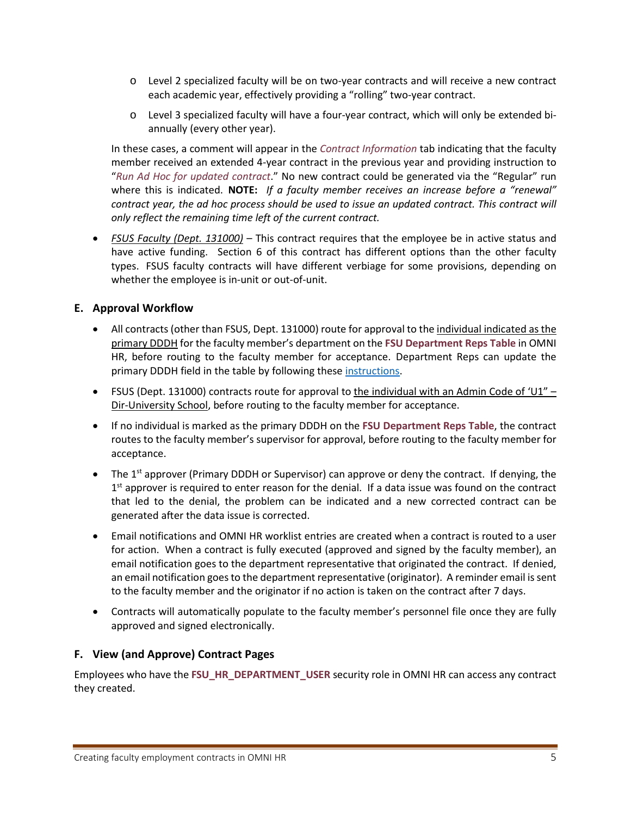- o Level 2 specialized faculty will be on two-year contracts and will receive a new contract each academic year, effectively providing a "rolling" two-year contract.
- o Level 3 specialized faculty will have a four-year contract, which will only be extended biannually (every other year).

In these cases, a comment will appear in the *Contract Information* tab indicating that the faculty member received an extended 4-year contract in the previous year and providing instruction to "*Run Ad Hoc for updated contract*." No new contract could be generated via the "Regular" run where this is indicated. **NOTE:** *If a faculty member receives an increase before a "renewal" contract year, the ad hoc process should be used to issue an updated contract. This contract will only reflect the remaining time left of the current contract.*

• *FSUS Faculty (Dept. 131000)* – This contract requires that the employee be in active status and have active funding. Section 6 of this contract has different options than the other faculty types. FSUS faculty contracts will have different verbiage for some provisions, depending on whether the employee is in-unit or out-of-unit.

### **E. Approval Workflow**

- All contracts (other than FSUS, Dept. 131000) route for approval to the individual indicated as the primary DDDH for the faculty member's department on the **FSU Department Reps Table** in OMNI HR, before routing to the faculty member for acceptance. Department Reps can update the primary DDDH field in the table by following these instructions.
- FSUS (Dept. 131000) contracts route for approval to the individual with an Admin Code of 'U1" Dir-University School, before routing to the faculty member for acceptance.
- If no individual is marked as the primary DDDH on the **FSU Department Reps Table**, the contract routes to the faculty member's supervisor for approval, before routing to the faculty member for acceptance.
- The 1<sup>st</sup> approver (Primary DDDH or Supervisor) can approve or deny the contract. If denying, the  $1<sup>st</sup>$  approver is required to enter reason for the denial. If a data issue was found on the contract that led to the denial, the problem can be indicated and a new corrected contract can be generated after the data issue is corrected.
- Email notifications and OMNI HR worklist entries are created when a contract is routed to a user for action. When a contract is fully executed (approved and signed by the faculty member), an email notification goes to the department representative that originated the contract. If denied, an email notification goes to the department representative (originator). A reminder email is sent to the faculty member and the originator if no action is taken on the contract after 7 days.
- Contracts will automatically populate to the faculty member's personnel file once they are fully approved and signed electronically.

### **F. View (and Approve) Contract Pages**

Employees who have the **FSU\_HR\_DEPARTMENT\_USER** security role in OMNI HR can access any contract they created.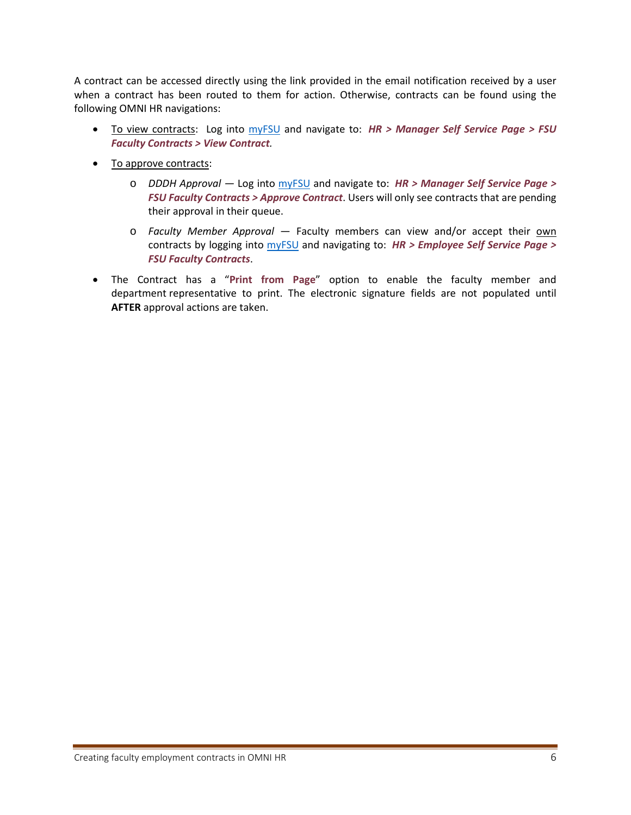A contract can be accessed directly using the link provided in the email notification received by a user when a contract has been routed to them for action. Otherwise, contracts can be found using the following OMNI HR navigations:

- To view contracts: Log into myFSU and navigate to: *HR > Manager Self Service Page > FSU Faculty Contracts > View Contract.*
- To approve contracts:
	- o *DDDH Approval* Log into myFSU and navigate to: *HR > Manager Self Service Page > FSU Faculty Contracts > Approve Contract*. Users will only see contracts that are pending their approval in their queue.
	- o *Faculty Member Approval* Faculty members can view and/or accept their own contracts by logging into myFSU and navigating to: *HR > Employee Self Service Page > FSU Faculty Contracts*.
- The Contract has a "**Print from Page**" option to enable the faculty member and department representative to print. The electronic signature fields are not populated until **AFTER** approval actions are taken.